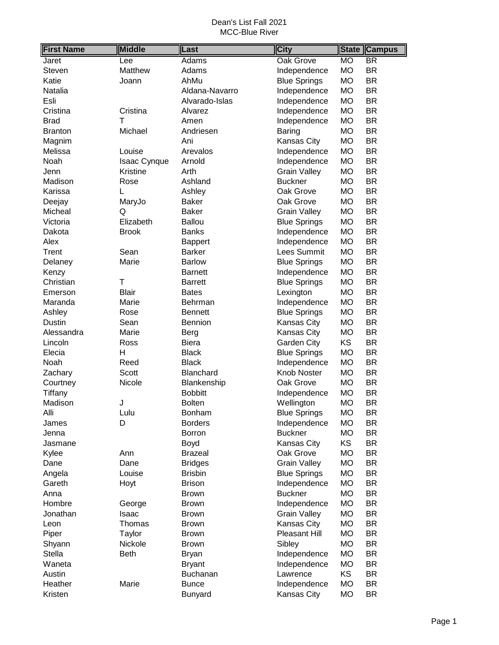| <b>First Name</b> | <b>Middle</b> | Last           | <b>City</b>          | <b>State</b> | <b>Campus</b>            |
|-------------------|---------------|----------------|----------------------|--------------|--------------------------|
| Jaret             | Lee           | Adams          | <b>Oak Grove</b>     | <b>MO</b>    | $\overline{\mathsf{BR}}$ |
| Steven            | Matthew       | Adams          | Independence         | <b>MO</b>    | <b>BR</b>                |
| Katie             | Joann         | AhMu           | <b>Blue Springs</b>  | <b>MO</b>    | <b>BR</b>                |
| Natalia           |               | Aldana-Navarro | Independence         | <b>MO</b>    | <b>BR</b>                |
| Esli              |               | Alvarado-Islas | Independence         | <b>MO</b>    | <b>BR</b>                |
| Cristina          | Cristina      | Alvarez        | Independence         | <b>MO</b>    | <b>BR</b>                |
| <b>Brad</b>       | т             | Amen           | Independence         | <b>MO</b>    | <b>BR</b>                |
| <b>Branton</b>    | Michael       | Andriesen      | <b>Baring</b>        | <b>MO</b>    | <b>BR</b>                |
| Magnim            |               | Ani            | Kansas City          | MO           | <b>BR</b>                |
| Melissa           | Louise        | Arevalos       | Independence         | <b>MO</b>    | <b>BR</b>                |
| Noah              | Isaac Cynque  | Arnold         | Independence         | <b>MO</b>    | <b>BR</b>                |
| Jenn              | Kristine      | Arth           | <b>Grain Valley</b>  | <b>MO</b>    | <b>BR</b>                |
| Madison           | Rose          | Ashland        | <b>Buckner</b>       | <b>MO</b>    | <b>BR</b>                |
| Karissa           | L             | Ashley         | Oak Grove            | <b>MO</b>    | <b>BR</b>                |
| Deejay            | MaryJo        | <b>Baker</b>   | Oak Grove            | <b>MO</b>    | <b>BR</b>                |
| Micheal           | Q             | <b>Baker</b>   | <b>Grain Valley</b>  | <b>MO</b>    | <b>BR</b>                |
| Victoria          | Elizabeth     | <b>Ballou</b>  | <b>Blue Springs</b>  | <b>MO</b>    | <b>BR</b>                |
| Dakota            | <b>Brook</b>  | <b>Banks</b>   | Independence         | <b>MO</b>    | <b>BR</b>                |
| Alex              |               | <b>Bappert</b> | Independence         | <b>MO</b>    | <b>BR</b>                |
| Trent             | Sean          | <b>Barker</b>  | Lees Summit          | <b>MO</b>    | <b>BR</b>                |
| Delaney           | Marie         | <b>Barlow</b>  | <b>Blue Springs</b>  | <b>MO</b>    | <b>BR</b>                |
| Kenzy             |               | <b>Barnett</b> | Independence         | <b>MO</b>    | <b>BR</b>                |
| Christian         | T             | <b>Barrett</b> | <b>Blue Springs</b>  | <b>MO</b>    | <b>BR</b>                |
| Emerson           | <b>Blair</b>  | <b>Bates</b>   | Lexington            | <b>MO</b>    | <b>BR</b>                |
| Maranda           | Marie         | Behrman        | Independence         | <b>MO</b>    | <b>BR</b>                |
| Ashley            | Rose          | <b>Bennett</b> | <b>Blue Springs</b>  | <b>MO</b>    | <b>BR</b>                |
| <b>Dustin</b>     | Sean          | Bennion        | Kansas City          | <b>MO</b>    | <b>BR</b>                |
| Alessandra        | Marie         | <b>Berg</b>    | Kansas City          | <b>MO</b>    | <b>BR</b>                |
| Lincoln           | Ross          | <b>Biera</b>   | Garden City          | KS           | <b>BR</b>                |
| Elecia            | H             | <b>Black</b>   | <b>Blue Springs</b>  | <b>MO</b>    | <b>BR</b>                |
| Noah              | Reed          | <b>Black</b>   | Independence         | <b>MO</b>    | <b>BR</b>                |
| Zachary           | Scott         | Blanchard      | Knob Noster          | <b>MO</b>    | <b>BR</b>                |
| Courtney          | Nicole        | Blankenship    | Oak Grove            | <b>MO</b>    | <b>BR</b>                |
| Tiffany           |               | <b>Bobbitt</b> | Independence         | <b>MO</b>    | <b>BR</b>                |
| Madison           | J             | <b>Bolten</b>  | Wellington           | <b>MO</b>    | <b>BR</b>                |
| Alli              | Lulu          | Bonham         | <b>Blue Springs</b>  | <b>MO</b>    | BR                       |
| James             | D             | <b>Borders</b> | Independence         | <b>MO</b>    | <b>BR</b>                |
| Jenna             |               | <b>Borron</b>  | <b>Buckner</b>       | <b>MO</b>    | BR                       |
| Jasmane           |               | Boyd           | <b>Kansas City</b>   | KS           | <b>BR</b>                |
| Kylee             | Ann           | <b>Brazeal</b> | Oak Grove            | <b>MO</b>    | <b>BR</b>                |
| Dane              | Dane          | <b>Bridges</b> | <b>Grain Valley</b>  | <b>MO</b>    | <b>BR</b>                |
| Angela            | Louise        | <b>Brisbin</b> | <b>Blue Springs</b>  | MO           | <b>BR</b>                |
| Gareth            | Hoyt          | <b>Brison</b>  | Independence         | MO           | <b>BR</b>                |
| Anna              |               | <b>Brown</b>   | <b>Buckner</b>       | <b>MO</b>    | <b>BR</b>                |
| Hombre            | George        | <b>Brown</b>   | Independence         | <b>MO</b>    | <b>BR</b>                |
| Jonathan          | Isaac         | <b>Brown</b>   | <b>Grain Valley</b>  | MO           | <b>BR</b>                |
| Leon              | Thomas        | <b>Brown</b>   | Kansas City          | MO           | <b>BR</b>                |
| Piper             | Taylor        | <b>Brown</b>   | <b>Pleasant Hill</b> | MO           | <b>BR</b>                |
| Shyann            | Nickole       | <b>Brown</b>   | Sibley               | <b>MO</b>    | <b>BR</b>                |
| Stella            | <b>Beth</b>   | Bryan          | Independence         | MO           | BR                       |
| Waneta            |               | <b>Bryant</b>  | Independence         | <b>MO</b>    | <b>BR</b>                |
| Austin            |               | Buchanan       | Lawrence             | KS           | BR                       |
| Heather           | Marie         | <b>Bunce</b>   | Independence         | <b>MO</b>    | BR                       |
| Kristen           |               | Bunyard        | Kansas City          | <b>MO</b>    | BR                       |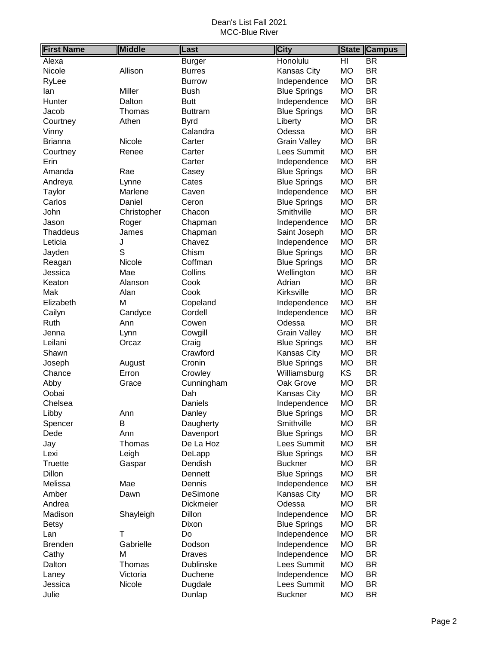| <b>First Name</b> | <b>Middle</b> | Last           | <b>City</b>         |           | <b>State Campus</b>      |
|-------------------|---------------|----------------|---------------------|-----------|--------------------------|
| Alexa             |               | <b>Burger</b>  | Honolulu            | HI        | $\overline{\mathsf{BR}}$ |
| Nicole            | Allison       | <b>Burres</b>  | Kansas City         | <b>MO</b> | <b>BR</b>                |
| RyLee             |               | <b>Burrow</b>  | Independence        | <b>MO</b> | <b>BR</b>                |
| lan               | Miller        | Bush           | <b>Blue Springs</b> | <b>MO</b> | <b>BR</b>                |
| Hunter            | Dalton        | <b>Butt</b>    | Independence        | <b>MO</b> | <b>BR</b>                |
| Jacob             | Thomas        | <b>Buttram</b> | <b>Blue Springs</b> | <b>MO</b> | <b>BR</b>                |
| Courtney          | Athen         | <b>Byrd</b>    | Liberty             | <b>MO</b> | <b>BR</b>                |
| Vinny             |               | Calandra       | Odessa              | <b>MO</b> | <b>BR</b>                |
| <b>Brianna</b>    | Nicole        | Carter         | <b>Grain Valley</b> | <b>MO</b> | <b>BR</b>                |
| Courtney          | Renee         | Carter         | Lees Summit         | <b>MO</b> | <b>BR</b>                |
| Erin              |               | Carter         | Independence        | <b>MO</b> | <b>BR</b>                |
| Amanda            | Rae           | Casey          | <b>Blue Springs</b> | <b>MO</b> | <b>BR</b>                |
| Andreya           | Lynne         | Cates          | <b>Blue Springs</b> | <b>MO</b> | <b>BR</b>                |
| Taylor            | Marlene       | Caven          | Independence        | <b>MO</b> | <b>BR</b>                |
| Carlos            | Daniel        | Ceron          | <b>Blue Springs</b> | <b>MO</b> | <b>BR</b>                |
| John              | Christopher   | Chacon         | Smithville          | <b>MO</b> | <b>BR</b>                |
| Jason             | Roger         | Chapman        | Independence        | <b>MO</b> | <b>BR</b>                |
| <b>Thaddeus</b>   | James         | Chapman        | Saint Joseph        | <b>MO</b> | <b>BR</b>                |
| Leticia           | J             | Chavez         | Independence        | <b>MO</b> | <b>BR</b>                |
| Jayden            | S             | Chism          | <b>Blue Springs</b> | <b>MO</b> | <b>BR</b>                |
| Reagan            | Nicole        | Coffman        | <b>Blue Springs</b> | <b>MO</b> | <b>BR</b>                |
| Jessica           | Mae           | Collins        | Wellington          | <b>MO</b> | <b>BR</b>                |
| Keaton            | Alanson       | Cook           | Adrian              | <b>MO</b> | <b>BR</b>                |
| Mak               | Alan          | Cook           | Kirksville          | <b>MO</b> | <b>BR</b>                |
| Elizabeth         | M             | Copeland       | Independence        | <b>MO</b> | <b>BR</b>                |
| Cailyn            | Candyce       | Cordell        | Independence        | <b>MO</b> | <b>BR</b>                |
| Ruth              | Ann           | Cowen          | Odessa              | <b>MO</b> | <b>BR</b>                |
| Jenna             | Lynn          | Cowgill        | <b>Grain Valley</b> | <b>MO</b> | <b>BR</b>                |
| Leilani           | Orcaz         | Craig          | <b>Blue Springs</b> | <b>MO</b> | <b>BR</b>                |
| Shawn             |               | Crawford       | Kansas City         | <b>MO</b> | <b>BR</b>                |
| Joseph            | August        | Cronin         | <b>Blue Springs</b> | <b>MO</b> | <b>BR</b>                |
| Chance            | Erron         | Crowley        | Williamsburg        | KS        | <b>BR</b>                |
| Abby              | Grace         | Cunningham     | Oak Grove           | <b>MO</b> | <b>BR</b>                |
| Oobai             |               | Dah            | Kansas City         | <b>MO</b> | <b>BR</b>                |
| Chelsea           |               | Daniels        | Independence        | <b>MO</b> | <b>BR</b>                |
| Libby             | Ann           | Danley         | <b>Blue Springs</b> | <b>MO</b> | BR                       |
| Spencer           | B             | Daugherty      | Smithville          | <b>MO</b> | <b>BR</b>                |
| Dede              | Ann           | Davenport      | <b>Blue Springs</b> | <b>MO</b> | BR                       |
| Jay               | Thomas        | De La Hoz      | Lees Summit         | <b>MO</b> | BR                       |
| Lexi              | Leigh         | DeLapp         | <b>Blue Springs</b> | <b>MO</b> | BR                       |
| <b>Truette</b>    | Gaspar        | Dendish        | <b>Buckner</b>      | <b>MO</b> | <b>BR</b>                |
| Dillon            |               | Dennett        | <b>Blue Springs</b> | <b>MO</b> | <b>BR</b>                |
| Melissa           | Mae           | Dennis         | Independence        | <b>MO</b> | <b>BR</b>                |
| Amber             | Dawn          | DeSimone       | Kansas City         | <b>MO</b> | <b>BR</b>                |
| Andrea            |               | Dickmeier      | Odessa              | <b>MO</b> | <b>BR</b>                |
| Madison           | Shayleigh     | Dillon         | Independence        | <b>MO</b> | <b>BR</b>                |
| <b>Betsy</b>      |               | Dixon          | <b>Blue Springs</b> | <b>MO</b> | <b>BR</b>                |
| Lan               | T             | Do             | Independence        | <b>MO</b> | <b>BR</b>                |
| <b>Brenden</b>    | Gabrielle     | Dodson         | Independence        | <b>MO</b> | <b>BR</b>                |
| Cathy             | Μ             | <b>Draves</b>  | Independence        | <b>MO</b> | BR                       |
| Dalton            | Thomas        | Dublinske      | Lees Summit         | <b>MO</b> | <b>BR</b>                |
| Laney             | Victoria      | Duchene        | Independence        | <b>MO</b> | <b>BR</b>                |
| Jessica           | Nicole        | Dugdale        | Lees Summit         | <b>MO</b> | <b>BR</b>                |
| Julie             |               | Dunlap         | <b>Buckner</b>      | <b>MO</b> | <b>BR</b>                |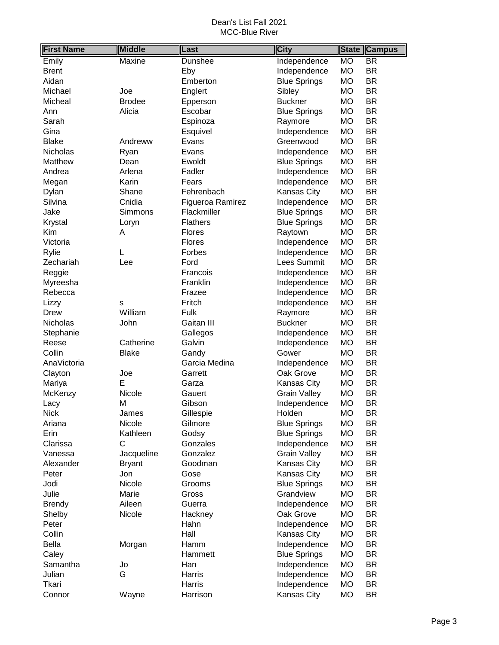| <b>First Name</b> | <b>Middle</b> | Last             | <b>City</b>         | <b>State</b> | <b>Campus</b>            |
|-------------------|---------------|------------------|---------------------|--------------|--------------------------|
| Emily             | Maxine        | Dunshee          | Independence        | <b>MO</b>    | $\overline{\mathsf{BR}}$ |
| <b>Brent</b>      |               | Eby              | Independence        | <b>MO</b>    | <b>BR</b>                |
| Aidan             |               | Emberton         | <b>Blue Springs</b> | <b>MO</b>    | <b>BR</b>                |
| Michael           | Joe           | Englert          | Sibley              | <b>MO</b>    | <b>BR</b>                |
| Micheal           | <b>Brodee</b> | Epperson         | <b>Buckner</b>      | <b>MO</b>    | <b>BR</b>                |
| Ann               | Alicia        | Escobar          | <b>Blue Springs</b> | <b>MO</b>    | <b>BR</b>                |
| Sarah             |               | Espinoza         | Raymore             | <b>MO</b>    | <b>BR</b>                |
| Gina              |               | Esquivel         | Independence        | MO           | <b>BR</b>                |
| <b>Blake</b>      | Andreww       | Evans            | Greenwood           | <b>MO</b>    | <b>BR</b>                |
| Nicholas          | Ryan          | Evans            | Independence        | <b>MO</b>    | <b>BR</b>                |
| Matthew           | Dean          | Ewoldt           | <b>Blue Springs</b> | <b>MO</b>    | <b>BR</b>                |
| Andrea            | Arlena        | Fadler           | Independence        | <b>MO</b>    | <b>BR</b>                |
| Megan             | Karin         | Fears            | Independence        | <b>MO</b>    | <b>BR</b>                |
| Dylan             | Shane         | Fehrenbach       | Kansas City         | <b>MO</b>    | <b>BR</b>                |
| Silvina           | Cnidia        | Figueroa Ramirez | Independence        | <b>MO</b>    | <b>BR</b>                |
| Jake              | Simmons       | Flackmiller      | <b>Blue Springs</b> | MO           | <b>BR</b>                |
| Krystal           | Loryn         | <b>Flathers</b>  | <b>Blue Springs</b> | <b>MO</b>    | <b>BR</b>                |
| Kim               | Α             | <b>Flores</b>    | Raytown             | MO           | <b>BR</b>                |
| Victoria          |               | Flores           | Independence        | <b>MO</b>    | <b>BR</b>                |
| Rylie             | L             | Forbes           | Independence        | <b>MO</b>    | <b>BR</b>                |
| Zechariah         | Lee           | Ford             | Lees Summit         | <b>MO</b>    | <b>BR</b>                |
| Reggie            |               | Francois         | Independence        | <b>MO</b>    | <b>BR</b>                |
| Myreesha          |               | Franklin         | Independence        | <b>MO</b>    | <b>BR</b>                |
| Rebecca           |               | Frazee           | Independence        | MO           | <b>BR</b>                |
| Lizzy             | S             | Fritch           | Independence        | MO           | <b>BR</b>                |
| Drew              | William       | Fulk             | Raymore             | MO           | <b>BR</b>                |
| Nicholas          | John          | Gaitan III       | <b>Buckner</b>      | <b>MO</b>    | <b>BR</b>                |
| Stephanie         |               | Gallegos         | Independence        | <b>MO</b>    | <b>BR</b>                |
| Reese             | Catherine     | Galvin           | Independence        | <b>MO</b>    | <b>BR</b>                |
| Collin            | <b>Blake</b>  | Gandy            | Gower               | <b>MO</b>    | <b>BR</b>                |
| AnaVictoria       |               | Garcia Medina    | Independence        | <b>MO</b>    | <b>BR</b>                |
| Clayton           | Joe           | Garrett          | Oak Grove           | MO           | <b>BR</b>                |
| Mariya            | E             | Garza            | Kansas City         | MO           | <b>BR</b>                |
| McKenzy           | Nicole        | Gauert           | <b>Grain Valley</b> | <b>MO</b>    | <b>BR</b>                |
| Lacy              | M             | Gibson           | Independence        | <b>MO</b>    | <b>BR</b>                |
| <b>Nick</b>       | James         | Gillespie        | Holden              | <b>MO</b>    | BR                       |
| Ariana            | Nicole        | Gilmore          | <b>Blue Springs</b> | <b>MO</b>    | <b>BR</b>                |
| Erin              | Kathleen      | Godsy            | <b>Blue Springs</b> | <b>MO</b>    | <b>BR</b>                |
| Clarissa          | C             | Gonzales         | Independence        | МO           | <b>BR</b>                |
| Vanessa           | Jacqueline    | Gonzalez         | <b>Grain Valley</b> | МO           | <b>BR</b>                |
| Alexander         | <b>Bryant</b> | Goodman          | Kansas City         | MO           | <b>BR</b>                |
| Peter             | Jon           | Gose             | Kansas City         | MO           | <b>BR</b>                |
| Jodi              | Nicole        | Grooms           | <b>Blue Springs</b> | <b>MO</b>    | <b>BR</b>                |
| Julie             | Marie         | Gross            | Grandview           | MO           | <b>BR</b>                |
| <b>Brendy</b>     | Aileen        | Guerra           | Independence        | МO           | <b>BR</b>                |
| Shelby            | Nicole        | Hackney          | Oak Grove           | МO           | <b>BR</b>                |
| Peter             |               | Hahn             | Independence        | <b>MO</b>    | <b>BR</b>                |
| Collin            |               | Hall             | Kansas City         | MO           | <b>BR</b>                |
| <b>Bella</b>      | Morgan        | Hamm             | Independence        | MO           | <b>BR</b>                |
| Caley             |               | Hammett          | <b>Blue Springs</b> | МO           | <b>BR</b>                |
| Samantha          | Jo            | Han              | Independence        | МO           | <b>BR</b>                |
| Julian            | G             | Harris           | Independence        | МO           | <b>BR</b>                |
| Tkari             |               | Harris           | Independence        | MO           | <b>BR</b>                |
| Connor            | Wayne         | Harrison         | Kansas City         | MO           | <b>BR</b>                |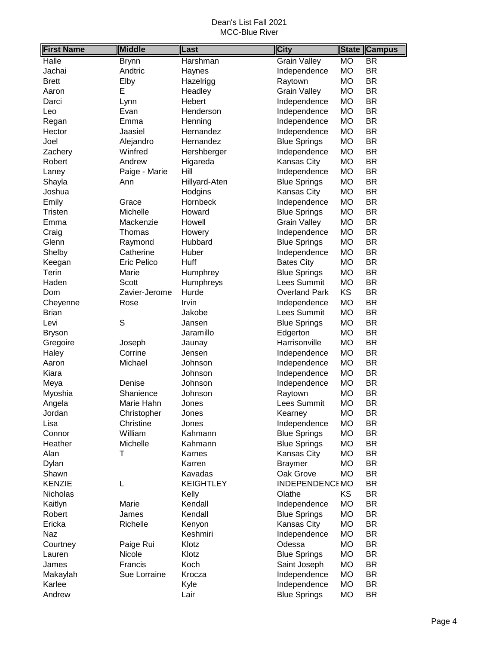| <b>First Name</b> | <b>Middle</b> | Last             | <b>City</b>          | <b>State</b> | <b>Campus</b>            |
|-------------------|---------------|------------------|----------------------|--------------|--------------------------|
| Halle             | <b>Brynn</b>  | Harshman         | <b>Grain Valley</b>  | <b>MO</b>    | $\overline{\mathsf{BR}}$ |
| Jachai            | Andtric       | Haynes           | Independence         | <b>MO</b>    | <b>BR</b>                |
| <b>Brett</b>      | Elby          | Hazelrigg        | Raytown              | <b>MO</b>    | <b>BR</b>                |
| Aaron             | E             | Headley          | <b>Grain Valley</b>  | <b>MO</b>    | <b>BR</b>                |
| Darci             | Lynn          | Hebert           | Independence         | <b>MO</b>    | <b>BR</b>                |
| Leo               | Evan          | Henderson        | Independence         | <b>MO</b>    | <b>BR</b>                |
| Regan             | Emma          | Henning          | Independence         | <b>MO</b>    | <b>BR</b>                |
| Hector            | Jaasiel       | Hernandez        | Independence         | <b>MO</b>    | <b>BR</b>                |
| Joel              | Alejandro     | Hernandez        | <b>Blue Springs</b>  | <b>MO</b>    | <b>BR</b>                |
| Zachery           | Winfred       | Hershberger      | Independence         | <b>MO</b>    | <b>BR</b>                |
| Robert            | Andrew        | Higareda         | <b>Kansas City</b>   | <b>MO</b>    | <b>BR</b>                |
| Laney             | Paige - Marie | Hill             | Independence         | <b>MO</b>    | <b>BR</b>                |
| Shayla            | Ann           | Hillyard-Aten    | <b>Blue Springs</b>  | <b>MO</b>    | <b>BR</b>                |
| Joshua            |               | Hodgins          | Kansas City          | <b>MO</b>    | <b>BR</b>                |
| Emily             | Grace         | Hornbeck         | Independence         | <b>MO</b>    | <b>BR</b>                |
| <b>Tristen</b>    | Michelle      | Howard           | <b>Blue Springs</b>  | <b>MO</b>    | <b>BR</b>                |
| Emma              | Mackenzie     | Howell           | <b>Grain Valley</b>  | <b>MO</b>    | <b>BR</b>                |
| Craig             | Thomas        | Howery           | Independence         | <b>MO</b>    | <b>BR</b>                |
| Glenn             | Raymond       | Hubbard          | <b>Blue Springs</b>  | <b>MO</b>    | <b>BR</b>                |
| Shelby            | Catherine     | Huber            | Independence         | <b>MO</b>    | <b>BR</b>                |
| Keegan            | Eric Pelico   | Huff             | <b>Bates City</b>    | <b>MO</b>    | <b>BR</b>                |
| Terin             | Marie         | Humphrey         | <b>Blue Springs</b>  | <b>MO</b>    | <b>BR</b>                |
| Haden             | Scott         | Humphreys        | Lees Summit          | <b>MO</b>    | <b>BR</b>                |
| Dom               | Zavier-Jerome | Hurde            | <b>Overland Park</b> | KS           | <b>BR</b>                |
| Cheyenne          | Rose          | Irvin            | Independence         | <b>MO</b>    | <b>BR</b>                |
| <b>Brian</b>      |               | Jakobe           | Lees Summit          | <b>MO</b>    | <b>BR</b>                |
| Levi              | S             | Jansen           | <b>Blue Springs</b>  | <b>MO</b>    | <b>BR</b>                |
| <b>Bryson</b>     |               | Jaramillo        | Edgerton             | <b>MO</b>    | <b>BR</b>                |
| Gregoire          | Joseph        | Jaunay           | Harrisonville        | <b>MO</b>    | <b>BR</b>                |
| Haley             | Corrine       | Jensen           | Independence         | <b>MO</b>    | <b>BR</b>                |
| Aaron             | Michael       | Johnson          | Independence         | <b>MO</b>    | <b>BR</b>                |
| Kiara             |               | Johnson          | Independence         | <b>MO</b>    | <b>BR</b>                |
| Meya              | Denise        | Johnson          | Independence         | <b>MO</b>    | <b>BR</b>                |
| Myoshia           | Shanience     | Johnson          | Raytown              | <b>MO</b>    | <b>BR</b>                |
| Angela            | Marie Hahn    | Jones            | Lees Summit          | <b>MO</b>    | <b>BR</b>                |
| Jordan            | Christopher   | Jones            | Kearney              | <b>MO</b>    | BR                       |
| Lisa              | Christine     | Jones            | Independence         | <b>MO</b>    | <b>BR</b>                |
| Connor            | William       | Kahmann          | <b>Blue Springs</b>  | <b>MO</b>    | <b>BR</b>                |
| Heather           | Michelle      | Kahmann          | <b>Blue Springs</b>  | <b>MO</b>    | <b>BR</b>                |
| Alan              | T             | Karnes           | Kansas City          | <b>MO</b>    | <b>BR</b>                |
| Dylan             |               | Karren           | <b>Braymer</b>       | <b>MO</b>    | <b>BR</b>                |
| Shawn             |               | Kavadas          | Oak Grove            | <b>MO</b>    | <b>BR</b>                |
| <b>KENZIE</b>     | L             | <b>KEIGHTLEY</b> | INDEPENDENCEMO       |              | <b>BR</b>                |
| Nicholas          |               | Kelly            | Olathe               | KS           | <b>BR</b>                |
| Kaitlyn           | Marie         | Kendall          | Independence         | <b>MO</b>    | <b>BR</b>                |
| Robert            | James         | Kendall          | <b>Blue Springs</b>  | <b>MO</b>    | <b>BR</b>                |
| Ericka            | Richelle      | Kenyon           | Kansas City          | <b>MO</b>    | <b>BR</b>                |
| Naz               |               | Keshmiri         | Independence         | <b>MO</b>    | <b>BR</b>                |
| Courtney          | Paige Rui     | Klotz            | Odessa               | <b>MO</b>    | <b>BR</b>                |
| Lauren            | Nicole        | Klotz            | <b>Blue Springs</b>  | <b>MO</b>    | <b>BR</b>                |
| James             | Francis       | Koch             | Saint Joseph         | <b>MO</b>    | <b>BR</b>                |
| Makaylah          | Sue Lorraine  | Krocza           | Independence         | <b>MO</b>    | <b>BR</b>                |
| Karlee            |               | Kyle             | Independence         | <b>MO</b>    | <b>BR</b>                |
| Andrew            |               | Lair             | <b>Blue Springs</b>  | <b>MO</b>    | <b>BR</b>                |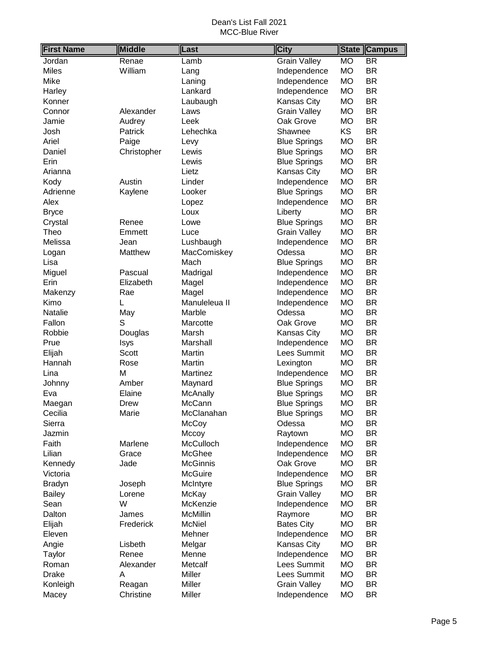| <b>First Name</b> | <b>Middle</b> | Last             | <b>City</b>         | <b>State</b> | <b>Campus</b> |
|-------------------|---------------|------------------|---------------------|--------------|---------------|
| Jordan            | Renae         | Lamb             | <b>Grain Valley</b> | <b>MO</b>    | <b>BR</b>     |
| <b>Miles</b>      | William       | Lang             | Independence        | <b>MO</b>    | <b>BR</b>     |
| Mike              |               | Laning           | Independence        | <b>MO</b>    | <b>BR</b>     |
| Harley            |               | Lankard          | Independence        | <b>MO</b>    | <b>BR</b>     |
| Konner            |               | Laubaugh         | Kansas City         | <b>MO</b>    | <b>BR</b>     |
| Connor            | Alexander     | Laws             | <b>Grain Valley</b> | <b>MO</b>    | <b>BR</b>     |
| Jamie             | Audrey        | Leek             | Oak Grove           | <b>MO</b>    | <b>BR</b>     |
| Josh              | Patrick       | Lehechka         | Shawnee             | KS           | <b>BR</b>     |
| Ariel             | Paige         | Levy             | <b>Blue Springs</b> | <b>MO</b>    | <b>BR</b>     |
| Daniel            | Christopher   | Lewis            | <b>Blue Springs</b> | <b>MO</b>    | <b>BR</b>     |
| Erin              |               | Lewis            | <b>Blue Springs</b> | <b>MO</b>    | <b>BR</b>     |
| Arianna           |               | Lietz            | Kansas City         | <b>MO</b>    | <b>BR</b>     |
| Kody              | Austin        | Linder           | Independence        | <b>MO</b>    | <b>BR</b>     |
| Adrienne          | Kaylene       | Looker           | <b>Blue Springs</b> | <b>MO</b>    | <b>BR</b>     |
| Alex              |               | Lopez            | Independence        | <b>MO</b>    | <b>BR</b>     |
| <b>Bryce</b>      |               | Loux             | Liberty             | <b>MO</b>    | <b>BR</b>     |
| Crystal           | Renee         | Lowe             | <b>Blue Springs</b> | <b>MO</b>    | <b>BR</b>     |
| Theo              | Emmett        | Luce             | <b>Grain Valley</b> | <b>MO</b>    | <b>BR</b>     |
| Melissa           | Jean          | Lushbaugh        | Independence        | <b>MO</b>    | <b>BR</b>     |
| Logan             | Matthew       | MacComiskey      | Odessa              | <b>MO</b>    | <b>BR</b>     |
| Lisa              |               | Mach             | <b>Blue Springs</b> | <b>MO</b>    | <b>BR</b>     |
| Miguel            | Pascual       | Madrigal         | Independence        | <b>MO</b>    | <b>BR</b>     |
| Erin              | Elizabeth     | Magel            | Independence        | <b>MO</b>    | <b>BR</b>     |
| Makenzy           | Rae           | Magel            | Independence        | <b>MO</b>    | <b>BR</b>     |
| Kimo              | L             | Manuleleua II    | Independence        | <b>MO</b>    | <b>BR</b>     |
| Natalie           | May           | Marble           | Odessa              | <b>MO</b>    | <b>BR</b>     |
| Fallon            | S             | Marcotte         | Oak Grove           | <b>MO</b>    | <b>BR</b>     |
| Robbie            | Douglas       | Marsh            | Kansas City         | <b>MO</b>    | <b>BR</b>     |
| Prue              | Isys          | Marshall         | Independence        | <b>MO</b>    | <b>BR</b>     |
| Elijah            | Scott         | Martin           | Lees Summit         | <b>MO</b>    | <b>BR</b>     |
| Hannah            | Rose          | Martin           | Lexington           | <b>MO</b>    | <b>BR</b>     |
| Lina              | M             | Martinez         | Independence        | <b>MO</b>    | <b>BR</b>     |
| Johnny            | Amber         | Maynard          | <b>Blue Springs</b> | <b>MO</b>    | <b>BR</b>     |
| Eva               | Elaine        | McAnally         | <b>Blue Springs</b> | <b>MO</b>    | <b>BR</b>     |
| Maegan            | Drew          | McCann           | <b>Blue Springs</b> | <b>MO</b>    | <b>BR</b>     |
| Cecilia           | Marie         | McClanahan       | <b>Blue Springs</b> | <b>MO</b>    | BR            |
| Sierra            |               | McCoy            | Odessa              | <b>MO</b>    | <b>BR</b>     |
| Jazmin            |               | Mccoy            | Raytown             | <b>MO</b>    | <b>BR</b>     |
| Faith             | Marlene       | McCulloch        | Independence        | <b>MO</b>    | <b>BR</b>     |
| Lilian            | Grace         | McGhee           | Independence        | <b>MO</b>    | <b>BR</b>     |
| Kennedy           | Jade          | <b>McGinnis</b>  | Oak Grove           | <b>MO</b>    | <b>BR</b>     |
| Victoria          |               | McGuire          | Independence        | <b>MO</b>    | <b>BR</b>     |
| <b>Bradyn</b>     | Joseph        | McIntyre         | <b>Blue Springs</b> | <b>MO</b>    | <b>BR</b>     |
| <b>Bailey</b>     | Lorene        | McKay            | <b>Grain Valley</b> | <b>MO</b>    | <b>BR</b>     |
| Sean              | W             | McKenzie         | Independence        | <b>MO</b>    | <b>BR</b>     |
| Dalton            | James         | <b>McMillin</b>  | Raymore             | <b>MO</b>    | <b>BR</b>     |
| Elijah            | Frederick     | <b>McNiel</b>    | <b>Bates City</b>   | <b>MO</b>    | <b>BR</b>     |
| Eleven            |               | Mehner           | Independence        | <b>MO</b>    | <b>BR</b>     |
| Angie             | Lisbeth       | Melgar           | Kansas City         | <b>MO</b>    | BR            |
| Taylor            | Renee         | Menne            | Independence        | <b>MO</b>    | <b>BR</b>     |
| Roman             | Alexander     | Metcalf          | Lees Summit         | <b>MO</b>    | <b>BR</b>     |
| <b>Drake</b>      | Α             | Miller           | Lees Summit         | <b>MO</b>    | <b>BR</b>     |
| Konleigh          | Reagan        | Miller<br>Miller | <b>Grain Valley</b> | <b>MO</b>    | <b>BR</b>     |
| Macey             | Christine     |                  | Independence        | <b>MO</b>    | <b>BR</b>     |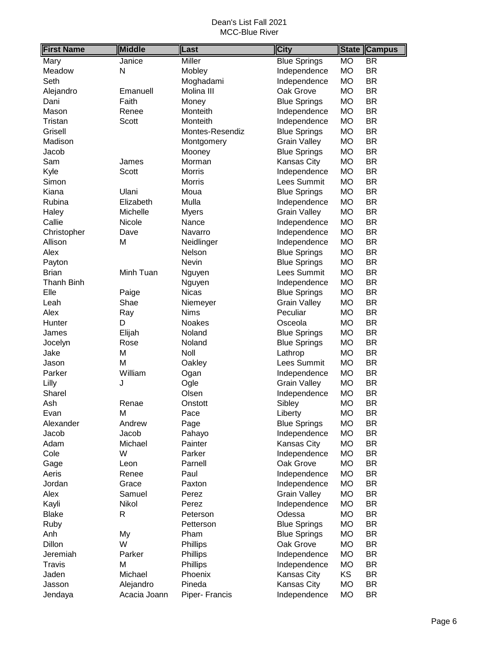| <b>First Name</b> | <b>Middle</b> | Last            | City                | <b>State</b> | <b>Campus</b>            |
|-------------------|---------------|-----------------|---------------------|--------------|--------------------------|
| Mary              | Janice        | <b>Miller</b>   | <b>Blue Springs</b> | <b>MO</b>    | $\overline{\mathsf{BR}}$ |
| Meadow            | N             | Mobley          | Independence        | <b>MO</b>    | <b>BR</b>                |
| Seth              |               | Moghadami       | Independence        | <b>MO</b>    | <b>BR</b>                |
| Alejandro         | Emanuell      | Molina III      | Oak Grove           | <b>MO</b>    | <b>BR</b>                |
| Dani              | Faith         | Money           | <b>Blue Springs</b> | <b>MO</b>    | <b>BR</b>                |
| Mason             | Renee         | Monteith        | Independence        | MO           | <b>BR</b>                |
| Tristan           | Scott         | Monteith        | Independence        | <b>MO</b>    | <b>BR</b>                |
| Grisell           |               | Montes-Resendiz | <b>Blue Springs</b> | <b>MO</b>    | <b>BR</b>                |
| Madison           |               | Montgomery      | <b>Grain Valley</b> | <b>MO</b>    | <b>BR</b>                |
| Jacob             |               | Mooney          | <b>Blue Springs</b> | <b>MO</b>    | <b>BR</b>                |
| Sam               | James         | Morman          | Kansas City         | <b>MO</b>    | <b>BR</b>                |
| Kyle              | Scott         | <b>Morris</b>   | Independence        | <b>MO</b>    | <b>BR</b>                |
| Simon             |               | Morris          | Lees Summit         | <b>MO</b>    | <b>BR</b>                |
| Kiana             | Ulani         | Moua            | <b>Blue Springs</b> | <b>MO</b>    | <b>BR</b>                |
| Rubina            | Elizabeth     | Mulla           | Independence        | <b>MO</b>    | <b>BR</b>                |
| Haley             | Michelle      | <b>Myers</b>    | <b>Grain Valley</b> | <b>MO</b>    | <b>BR</b>                |
| Callie            | Nicole        | Nance           | Independence        | <b>MO</b>    | <b>BR</b>                |
| Christopher       | Dave          | Navarro         | Independence        | <b>MO</b>    | <b>BR</b>                |
| Allison           | М             | Neidlinger      | Independence        | <b>MO</b>    | <b>BR</b>                |
| Alex              |               | Nelson          | <b>Blue Springs</b> | <b>MO</b>    | <b>BR</b>                |
| Payton            |               | Nevin           | <b>Blue Springs</b> | <b>MO</b>    | <b>BR</b>                |
| <b>Brian</b>      | Minh Tuan     | Nguyen          | Lees Summit         | <b>MO</b>    | <b>BR</b>                |
| Thanh Binh        |               | Nguyen          | Independence        | <b>MO</b>    | <b>BR</b>                |
| Elle              | Paige         | <b>Nicas</b>    | <b>Blue Springs</b> | <b>MO</b>    | <b>BR</b>                |
| Leah              | Shae          | Niemeyer        | <b>Grain Valley</b> | MO           | <b>BR</b>                |
| Alex              | Ray           | <b>Nims</b>     | Peculiar            | <b>MO</b>    | <b>BR</b>                |
| Hunter            | D             | Noakes          | Osceola             | <b>MO</b>    | <b>BR</b>                |
| James             | Elijah        | Noland          | <b>Blue Springs</b> | <b>MO</b>    | <b>BR</b>                |
| Jocelyn           | Rose          | Noland          | <b>Blue Springs</b> | <b>MO</b>    | <b>BR</b>                |
| Jake              | Μ             | Noll            | Lathrop             | <b>MO</b>    | <b>BR</b>                |
| Jason             | M             | Oakley          | Lees Summit         | <b>MO</b>    | <b>BR</b>                |
| Parker            | William       | Ogan            | Independence        | <b>MO</b>    | <b>BR</b>                |
| Lilly             | J             | Ogle            | <b>Grain Valley</b> | <b>MO</b>    | <b>BR</b>                |
| Sharel            |               | Olsen           | Independence        | <b>MO</b>    | <b>BR</b>                |
| Ash               | Renae         | Onstott         | Sibley              | <b>MO</b>    | <b>BR</b>                |
| Evan              | Μ             | Pace            | Liberty             | <b>MO</b>    | <b>BR</b>                |
| Alexander         | Andrew        | Page            | <b>Blue Springs</b> | <b>MO</b>    | <b>BR</b>                |
| Jacob             | Jacob         | Pahayo          | Independence        | MO           | <b>BR</b>                |
| Adam              | Michael       | Painter         | Kansas City         | MO           | <b>BR</b>                |
| Cole              | W             | Parker          | Independence        | MO           | <b>BR</b>                |
| Gage              | Leon          | Parnell         | Oak Grove           | MO           | <b>BR</b>                |
| Aeris             | Renee         | Paul            | Independence        | MO           | <b>BR</b>                |
| Jordan            | Grace         | Paxton          | Independence        | <b>MO</b>    | <b>BR</b>                |
| Alex              | Samuel        | Perez           | <b>Grain Valley</b> | <b>MO</b>    | <b>BR</b>                |
| Kayli             | Nikol         | Perez           | Independence        | MO           | <b>BR</b>                |
| <b>Blake</b>      | R             | Peterson        | Odessa              | <b>MO</b>    | <b>BR</b>                |
| Ruby              |               | Petterson       | <b>Blue Springs</b> | <b>MO</b>    | <b>BR</b>                |
| Anh               | My            | Pham            | <b>Blue Springs</b> | <b>MO</b>    | <b>BR</b>                |
| Dillon            | W             | Phillips        | Oak Grove           | MO           | <b>BR</b>                |
| Jeremiah          | Parker        | Phillips        | Independence        | MO           | <b>BR</b>                |
| Travis            | М             | Phillips        | Independence        | MO           | <b>BR</b>                |
| Jaden             | Michael       | Phoenix         | Kansas City         | <b>KS</b>    | <b>BR</b>                |
| Jasson            | Alejandro     | Pineda          | Kansas City         | <b>MO</b>    | <b>BR</b>                |
| Jendaya           | Acacia Joann  | Piper- Francis  | Independence        | <b>MO</b>    | <b>BR</b>                |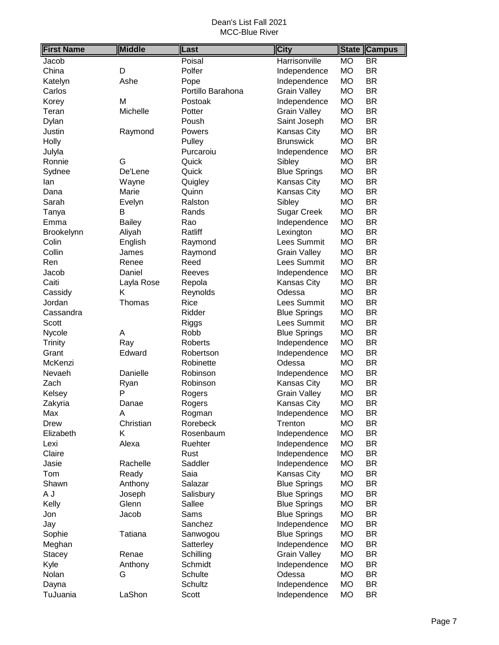| <b>First Name</b> | <b>Middle</b> | Last              | <b>City</b>         | <b>State</b> | <b>Campus</b>            |
|-------------------|---------------|-------------------|---------------------|--------------|--------------------------|
| Jacob             |               | Poisal            | Harrisonville       | <b>MO</b>    | $\overline{\mathsf{BR}}$ |
| China             | D             | Polfer            | Independence        | <b>MO</b>    | <b>BR</b>                |
| Katelyn           | Ashe          | Pope              | Independence        | <b>MO</b>    | <b>BR</b>                |
| Carlos            |               | Portillo Barahona | <b>Grain Valley</b> | <b>MO</b>    | <b>BR</b>                |
| Korey             | Μ             | Postoak           | Independence        | <b>MO</b>    | <b>BR</b>                |
| Teran             | Michelle      | Potter            | <b>Grain Valley</b> | <b>MO</b>    | <b>BR</b>                |
| Dylan             |               | Poush             | Saint Joseph        | <b>MO</b>    | <b>BR</b>                |
| Justin            | Raymond       | Powers            | Kansas City         | <b>MO</b>    | <b>BR</b>                |
| Holly             |               | Pulley            | <b>Brunswick</b>    | <b>MO</b>    | <b>BR</b>                |
| Julyla            |               | Purcaroiu         | Independence        | <b>MO</b>    | <b>BR</b>                |
| Ronnie            | G             | Quick             | Sibley              | <b>MO</b>    | <b>BR</b>                |
| Sydnee            | De'Lene       | Quick             | <b>Blue Springs</b> | <b>MO</b>    | <b>BR</b>                |
| lan               | Wayne         | Quigley           | Kansas City         | <b>MO</b>    | <b>BR</b>                |
| Dana              | Marie         | Quinn             | Kansas City         | <b>MO</b>    | <b>BR</b>                |
| Sarah             | Evelyn        | Ralston           | Sibley              | <b>MO</b>    | <b>BR</b>                |
| Tanya             | В             | Rands             | <b>Sugar Creek</b>  | <b>MO</b>    | <b>BR</b>                |
| Emma              | <b>Bailey</b> | Rao               | Independence        | <b>MO</b>    | <b>BR</b>                |
| Brookelynn        | Aliyah        | Ratliff           | Lexington           | <b>MO</b>    | <b>BR</b>                |
| Colin             | English       | Raymond           | Lees Summit         | <b>MO</b>    | <b>BR</b>                |
| Collin            | James         | Raymond           | <b>Grain Valley</b> | <b>MO</b>    | <b>BR</b>                |
| Ren               | Renee         | Reed              | Lees Summit         | <b>MO</b>    | <b>BR</b>                |
| Jacob             | Daniel        | Reeves            | Independence        | <b>MO</b>    | <b>BR</b>                |
| Caiti             | Layla Rose    | Repola            | Kansas City         | <b>MO</b>    | <b>BR</b>                |
| Cassidy           | K             | Reynolds          | Odessa              | <b>MO</b>    | <b>BR</b>                |
| Jordan            | Thomas        | Rice              | Lees Summit         | <b>MO</b>    | <b>BR</b>                |
| Cassandra         |               | Ridder            | <b>Blue Springs</b> | <b>MO</b>    | <b>BR</b>                |
| Scott             |               | <b>Riggs</b>      | Lees Summit         | <b>MO</b>    | <b>BR</b>                |
| Nycole            | A             | Robb              | <b>Blue Springs</b> | <b>MO</b>    | <b>BR</b>                |
| <b>Trinity</b>    | Ray           | Roberts           | Independence        | MO           | <b>BR</b>                |
| Grant             | Edward        | Robertson         | Independence        | <b>MO</b>    | <b>BR</b>                |
| McKenzi           |               | Robinette         | Odessa              | <b>MO</b>    | <b>BR</b>                |
| Nevaeh            | Danielle      | Robinson          | Independence        | MO           | <b>BR</b>                |
| Zach              | Ryan          | Robinson          | Kansas City         | <b>MO</b>    | <b>BR</b>                |
| Kelsey            | P             | Rogers            | <b>Grain Valley</b> | <b>MO</b>    | <b>BR</b>                |
| Zakyria           | Danae         | Rogers            | Kansas City         | <b>MO</b>    | <b>BR</b>                |
| Max               | Α             | Rogman            | Independence        | <b>MO</b>    | BR                       |
| Drew              | Christian     | Rorebeck          | Trenton             | <b>MO</b>    | BR                       |
| Elizabeth         | Κ             | Rosenbaum         | Independence        | <b>MO</b>    | BR                       |
| Lexi              | Alexa         | Ruehter           | Independence        | <b>MO</b>    | <b>BR</b>                |
| Claire            |               | Rust              | Independence        | MO           | BR                       |
| Jasie             | Rachelle      | Saddler           | Independence        | MO           | BR                       |
| Tom               | Ready         | Saia              | Kansas City         | MO           | <b>BR</b>                |
| Shawn             | Anthony       | Salazar           | <b>Blue Springs</b> | <b>MO</b>    | <b>BR</b>                |
| A J               | Joseph        | Salisbury         | <b>Blue Springs</b> | MO           | <b>BR</b>                |
| Kelly             | Glenn         | Sallee            | <b>Blue Springs</b> | МO           | <b>BR</b>                |
| Jon               | Jacob         | Sams              | <b>Blue Springs</b> | МO           | <b>BR</b>                |
| Jay               |               | Sanchez           | Independence        | МO           | <b>BR</b>                |
| Sophie            | Tatiana       | Sanwogou          | <b>Blue Springs</b> | <b>MO</b>    | <b>BR</b>                |
| Meghan            |               | Satterley         | Independence        | MO           | <b>BR</b>                |
| <b>Stacey</b>     | Renae         | Schilling         | <b>Grain Valley</b> | MO           | <b>BR</b>                |
| Kyle              | Anthony       | Schmidt           | Independence        | MO           | BR                       |
| Nolan             | G             | Schulte           | Odessa              | <b>MO</b>    | BR                       |
| Dayna             |               | Schultz           | Independence        | <b>MO</b>    | BR                       |
| TuJuania          | LaShon        | Scott             | Independence        | <b>MO</b>    | <b>BR</b>                |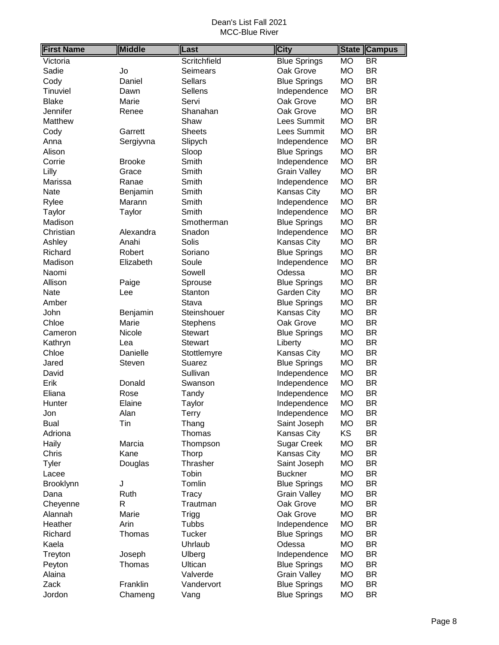| <b>First Name</b> | <b>Middle</b> | _ast            | <b>City</b>         | <b>State</b> | <b>Campus</b>            |
|-------------------|---------------|-----------------|---------------------|--------------|--------------------------|
| Victoria          |               | Scritchfield    | <b>Blue Springs</b> | <b>MO</b>    | $\overline{\mathsf{BR}}$ |
| Sadie             | Jo            | Seimears        | Oak Grove           | <b>MO</b>    | <b>BR</b>                |
| Cody              | Daniel        | <b>Sellars</b>  | <b>Blue Springs</b> | <b>MO</b>    | <b>BR</b>                |
| Tinuviel          | Dawn          | Sellens         | Independence        | <b>MO</b>    | <b>BR</b>                |
| <b>Blake</b>      | Marie         | Servi           | Oak Grove           | <b>MO</b>    | <b>BR</b>                |
| Jennifer          | Renee         | Shanahan        | Oak Grove           | <b>MO</b>    | <b>BR</b>                |
| Matthew           |               | Shaw            | Lees Summit         | MO           | <b>BR</b>                |
| Cody              | Garrett       | <b>Sheets</b>   | Lees Summit         | <b>MO</b>    | <b>BR</b>                |
| Anna              | Sergiyvna     | Slipych         | Independence        | <b>MO</b>    | <b>BR</b>                |
| Alison            |               | Sloop           | <b>Blue Springs</b> | <b>MO</b>    | <b>BR</b>                |
| Corrie            | <b>Brooke</b> | Smith           | Independence        | <b>MO</b>    | <b>BR</b>                |
| Lilly             | Grace         | Smith           | <b>Grain Valley</b> | <b>MO</b>    | <b>BR</b>                |
| Marissa           | Ranae         | Smith           | Independence        | <b>MO</b>    | <b>BR</b>                |
| Nate              | Benjamin      | Smith           | Kansas City         | <b>MO</b>    | <b>BR</b>                |
| Rylee             | Marann        | Smith           | Independence        | MO           | <b>BR</b>                |
| Taylor            | Taylor        | Smith           | Independence        | <b>MO</b>    | <b>BR</b>                |
| Madison           |               | Smotherman      | <b>Blue Springs</b> | MO           | <b>BR</b>                |
| Christian         | Alexandra     | Snadon          | Independence        | <b>MO</b>    | <b>BR</b>                |
| Ashley            | Anahi         | Solis           | Kansas City         | <b>MO</b>    | <b>BR</b>                |
| Richard           | Robert        | Soriano         | <b>Blue Springs</b> | <b>MO</b>    | <b>BR</b>                |
| Madison           | Elizabeth     | Soule           | Independence        | <b>MO</b>    | <b>BR</b>                |
| Naomi             |               | Sowell          | Odessa              | <b>MO</b>    | <b>BR</b>                |
| Allison           | Paige         | Sprouse         | <b>Blue Springs</b> | <b>MO</b>    | <b>BR</b>                |
| Nate              | Lee           | Stanton         | Garden City         | <b>MO</b>    | <b>BR</b>                |
| Amber             |               | Stava           | <b>Blue Springs</b> | MO           | <b>BR</b>                |
| John              | Benjamin      | Steinshouer     | Kansas City         | <b>MO</b>    | <b>BR</b>                |
| Chloe             | Marie         | <b>Stephens</b> | Oak Grove           | <b>MO</b>    | <b>BR</b>                |
| Cameron           | Nicole        | <b>Stewart</b>  | <b>Blue Springs</b> | MO           | <b>BR</b>                |
| Kathryn           | Lea           | <b>Stewart</b>  | Liberty             | <b>MO</b>    | <b>BR</b>                |
| Chloe             | Danielle      | Stottlemyre     | Kansas City         | <b>MO</b>    | <b>BR</b>                |
| Jared             | Steven        | Suarez          | <b>Blue Springs</b> | MO           | <b>BR</b>                |
| David             |               | Sullivan        | Independence        | MO           | <b>BR</b>                |
| Erik              | Donald        | Swanson         | Independence        | МO           | <b>BR</b>                |
| Eliana            | Rose          | Tandy           | Independence        | MO           | <b>BR</b>                |
| Hunter            | Elaine        | Taylor          | Independence        | <b>MO</b>    | <b>BR</b>                |
| Jon               | Alan          | Terry           | Independence        | <b>MO</b>    | <b>BR</b>                |
| <b>Bual</b>       | Tin           | Thang           | Saint Joseph        | <b>MO</b>    | <b>BR</b>                |
| Adriona           |               | Thomas          | Kansas City         | KS           | <b>BR</b>                |
| Haily             | Marcia        | Thompson        | <b>Sugar Creek</b>  | MO           | <b>BR</b>                |
| Chris             | Kane          | Thorp           | Kansas City         | MO           | <b>BR</b>                |
| <b>Tyler</b>      | Douglas       | Thrasher        | Saint Joseph        | <b>MO</b>    | <b>BR</b>                |
| Lacee             |               | Tobin           | <b>Buckner</b>      | МO           | <b>BR</b>                |
| Brooklynn         | J             | Tomlin          | <b>Blue Springs</b> | <b>MO</b>    | <b>BR</b>                |
| Dana              | Ruth          | Tracy           | <b>Grain Valley</b> | MO           | <b>BR</b>                |
| Cheyenne          | R             | Trautman        | Oak Grove           | MO           | <b>BR</b>                |
| Alannah           | Marie         | <b>Trigg</b>    | Oak Grove           | МO           | <b>BR</b>                |
| Heather           | Arin          | Tubbs           | Independence        | <b>MO</b>    | <b>BR</b>                |
| Richard           | Thomas        | Tucker          | <b>Blue Springs</b> | MO           | <b>BR</b>                |
| Kaela             |               | Uhrlaub         | Odessa              | MO           | <b>BR</b>                |
| Treyton           | Joseph        | Ulberg          | Independence        | MO           | <b>BR</b>                |
| Peyton            | Thomas        | Ultican         | <b>Blue Springs</b> | MO           | <b>BR</b>                |
| Alaina            |               | Valverde        | <b>Grain Valley</b> | MO           | <b>BR</b>                |
| Zack              | Franklin      | Vandervort      | <b>Blue Springs</b> | MO           | <b>BR</b>                |
| Jordon            | Chameng       | Vang            | <b>Blue Springs</b> | <b>MO</b>    | <b>BR</b>                |